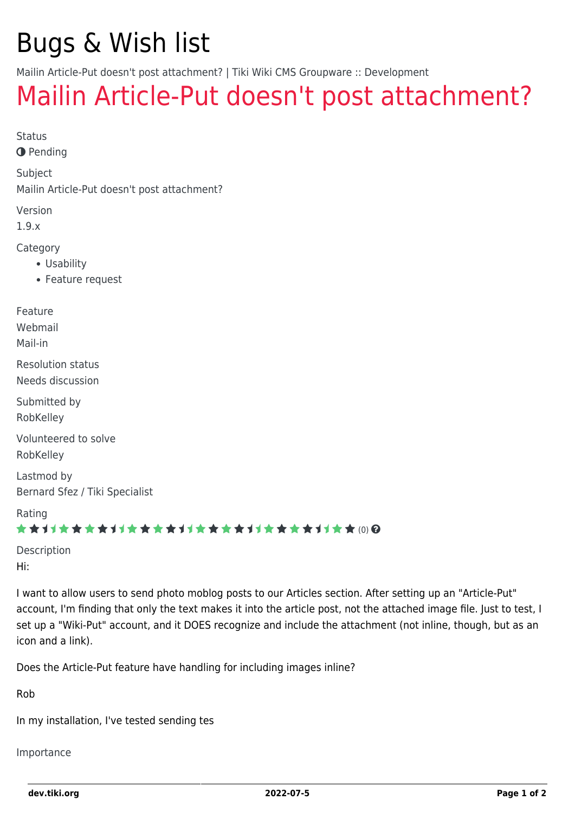# Bugs & Wish list

Mailin Article-Put doesn't post attachment? | Tiki Wiki CMS Groupware :: Development

## [Mailin Article-Put doesn't post attachment?](https://dev.tiki.org/item444-Mailin-Article-Put-doesn-t-post-attachment)

Status

**O** Pending

Subject

Mailin Article-Put doesn't post attachment?

Version

1.9.x

Category

- Usability
- Feature request

Feature Webmail Mail-in Resolution status Needs discussion Submitted by RobKelley Volunteered to solve RobKelley Lastmod by Bernard Sfez / Tiki Specialist Rating

#### ★★オオ★★★★オオ★★★★オオ★★★★オオ★★★★1オ★★(0)@

Description Hi:

I want to allow users to send photo moblog posts to our Articles section. After setting up an "Article-Put" account, I'm finding that only the text makes it into the article post, not the attached image file. Just to test, I set up a "Wiki-Put" account, and it DOES recognize and include the attachment (not inline, though, but as an icon and a link).

Does the Article-Put feature have handling for including images inline?

Rob

In my installation, I've tested sending tes

Importance